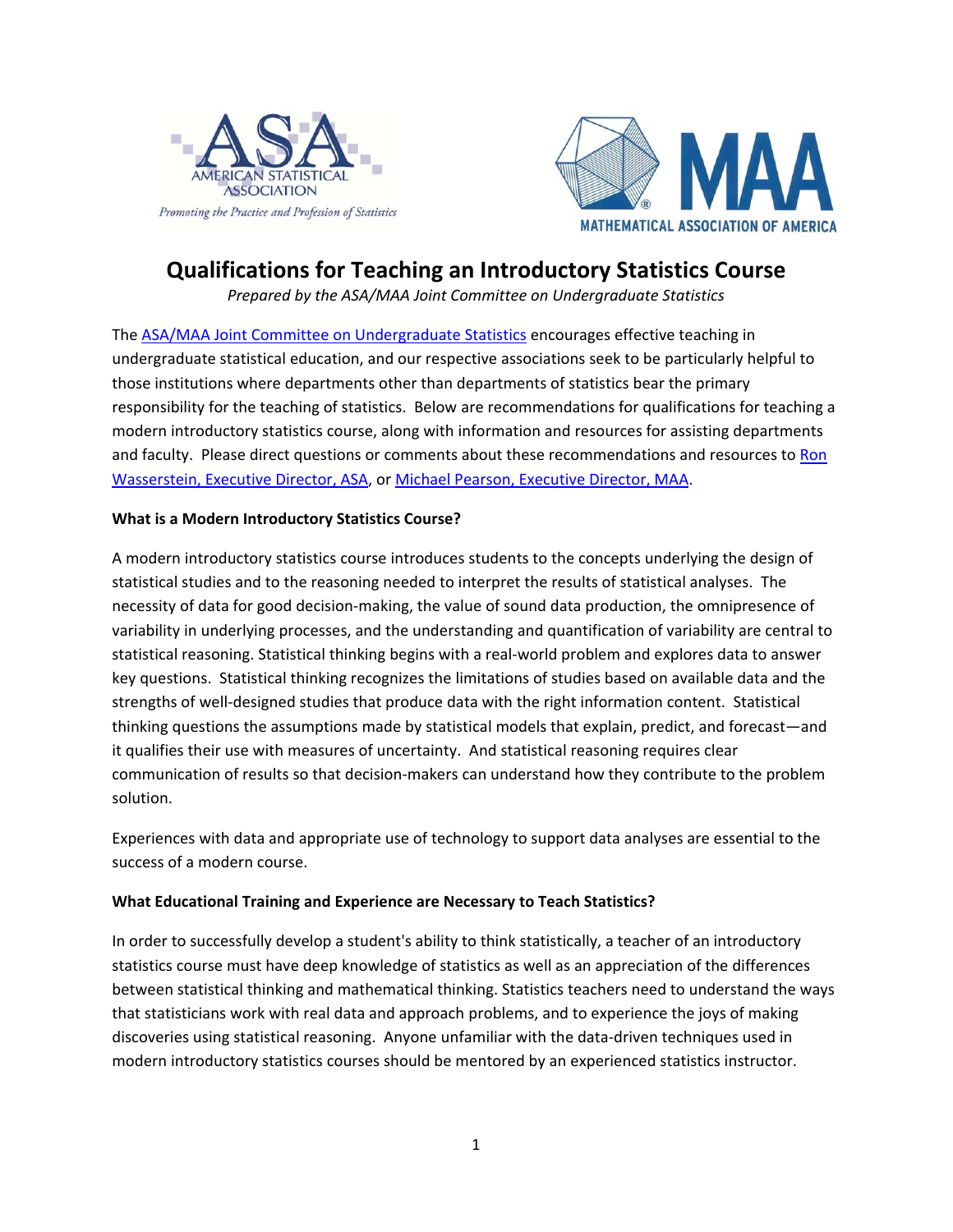



# **Qualifications for Teaching an Introductory Statistics Course**

*Prepared by the ASA/MAA Joint Committee on Undergraduate Statistics* 

The ASA/MAA Joint Committee on Undergraduate Statistics encourages effective teaching in undergraduate statistical education, and our respective associations seek to be particularly helpful to those institutions where departments other than departments of statistics bear the primary responsibility for the teaching of statistics. Below are recommendations for qualifications for teaching a modern introductory statistics course, along with information and resources for assisting departments and faculty. Please direct questions or comments about these recommendations and resources to Ron Wasserstein, Executive Director, ASA, or Michael Pearson, Executive Director, MAA.

### **What is a Modern Introductory Statistics Course?**

A modern introductory statistics course introduces students to the concepts underlying the design of statistical studies and to the reasoning needed to interpret the results of statistical analyses. The necessity of data for good decision-making, the value of sound data production, the omnipresence of variability in underlying processes, and the understanding and quantification of variability are central to statistical reasoning. Statistical thinking begins with a real-world problem and explores data to answer key questions. Statistical thinking recognizes the limitations of studies based on available data and the strengths of well-designed studies that produce data with the right information content. Statistical thinking questions the assumptions made by statistical models that explain, predict, and forecast—and it qualifies their use with measures of uncertainty. And statistical reasoning requires clear communication of results so that decision-makers can understand how they contribute to the problem solution.

Experiences with data and appropriate use of technology to support data analyses are essential to the success of a modern course.

# **What Educational Training and Experience are Necessary to Teach Statistics?**

In order to successfully develop a student's ability to think statistically, a teacher of an introductory statistics course must have deep knowledge of statistics as well as an appreciation of the differences between statistical thinking and mathematical thinking. Statistics teachers need to understand the ways that statisticians work with real data and approach problems, and to experience the joys of making discoveries using statistical reasoning. Anyone unfamiliar with the data-driven techniques used in modern introductory statistics courses should be mentored by an experienced statistics instructor.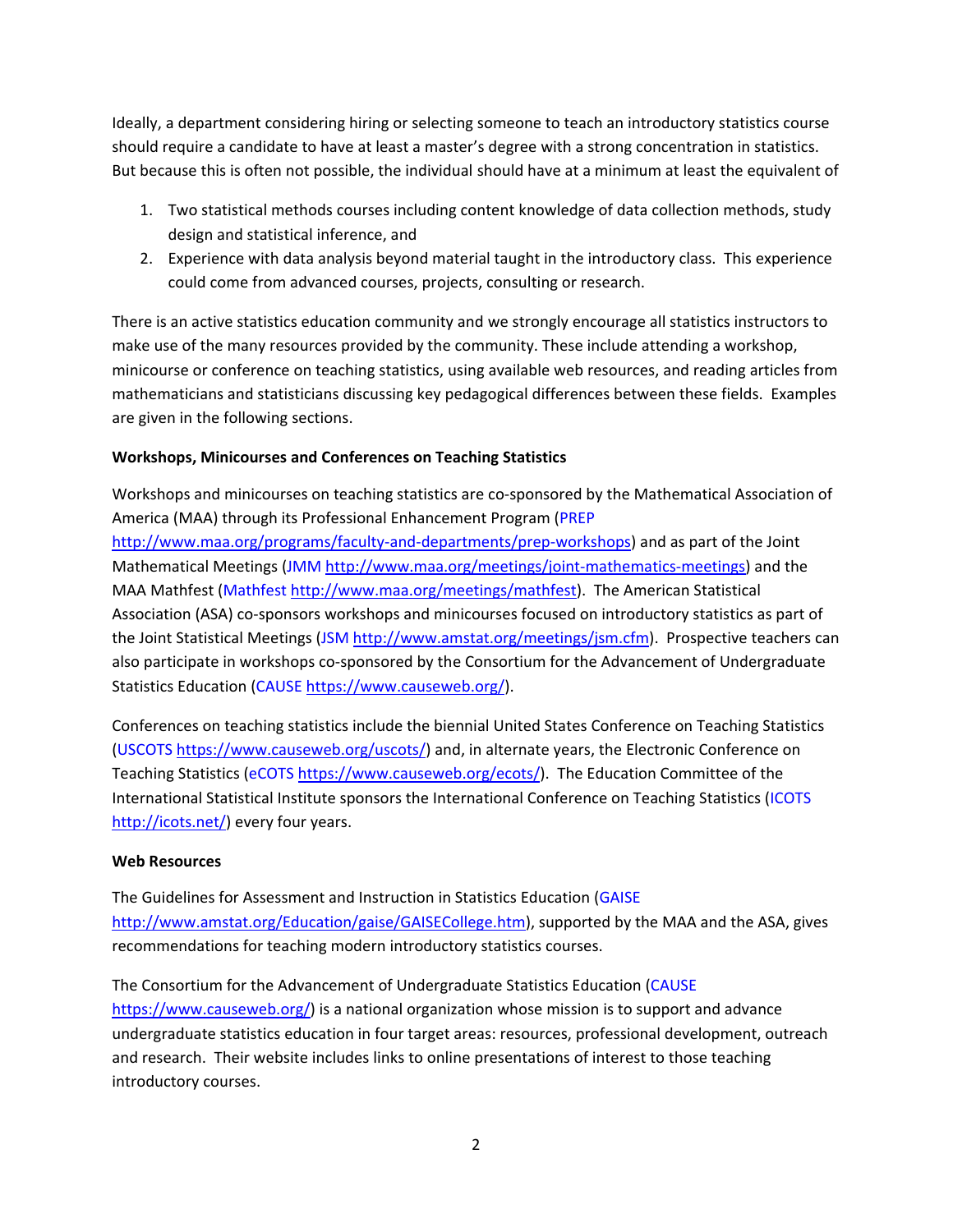Ideally, a department considering hiring or selecting someone to teach an introductory statistics course should require a candidate to have at least a master's degree with a strong concentration in statistics. But because this is often not possible, the individual should have at a minimum at least the equivalent of

- 1. Two statistical methods courses including content knowledge of data collection methods, study design and statistical inference, and
- 2. Experience with data analysis beyond material taught in the introductory class. This experience could come from advanced courses, projects, consulting or research.

There is an active statistics education community and we strongly encourage all statistics instructors to make use of the many resources provided by the community. These include attending a workshop, minicourse or conference on teaching statistics, using available web resources, and reading articles from mathematicians and statisticians discussing key pedagogical differences between these fields. Examples are given in the following sections.

# **Workshops, Minicourses and Conferences on Teaching Statistics**

Workshops and minicourses on teaching statistics are co-sponsored by the Mathematical Association of America (MAA) through its Professional Enhancement Program (PREP http://www.maa.org/programs/faculty-and-departments/prep-workshops) and as part of the Joint Mathematical Meetings (JMM http://www.maa.org/meetings/joint-mathematics-meetings) and the MAA Mathfest (Mathfest http://www.maa.org/meetings/mathfest). The American Statistical Association (ASA) co-sponsors workshops and minicourses focused on introductory statistics as part of the Joint Statistical Meetings (JSM http://www.amstat.org/meetings/jsm.cfm). Prospective teachers can also participate in workshops co-sponsored by the Consortium for the Advancement of Undergraduate Statistics Education (CAUSE https://www.causeweb.org/).

Conferences on teaching statistics include the biennial United States Conference on Teaching Statistics (USCOTS https://www.causeweb.org/uscots/) and, in alternate years, the Electronic Conference on Teaching Statistics (eCOTS https://www.causeweb.org/ecots/). The Education Committee of the International Statistical Institute sponsors the International Conference on Teaching Statistics (ICOTS http://icots.net/) every four years.

#### **Web Resources**

The Guidelines for Assessment and Instruction in Statistics Education (GAISE http://www.amstat.org/Education/gaise/GAISECollege.htm), supported by the MAA and the ASA, gives recommendations for teaching modern introductory statistics courses.

The Consortium for the Advancement of Undergraduate Statistics Education (CAUSE https://www.causeweb.org/) is a national organization whose mission is to support and advance undergraduate statistics education in four target areas: resources, professional development, outreach and research. Their website includes links to online presentations of interest to those teaching introductory courses.